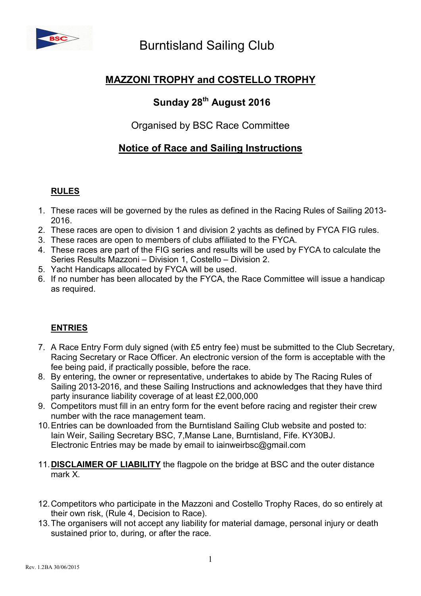

# MAZZONI TROPHY and COSTELLO TROPHY

# Sunday 28<sup>th</sup> August 2016

# Organised by BSC Race Committee

# Notice of Race and Sailing Instructions

## RULES

- 1. These races will be governed by the rules as defined in the Racing Rules of Sailing 2013- 2016.
- 2. These races are open to division 1 and division 2 yachts as defined by FYCA FIG rules.
- 3. These races are open to members of clubs affiliated to the FYCA.
- 4. These races are part of the FIG series and results will be used by FYCA to calculate the Series Results Mazzoni – Division 1, Costello – Division 2.
- 5. Yacht Handicaps allocated by FYCA will be used.
- 6. If no number has been allocated by the FYCA, the Race Committee will issue a handicap as required.

## ENTRIES

- 7. A Race Entry Form duly signed (with £5 entry fee) must be submitted to the Club Secretary, Racing Secretary or Race Officer. An electronic version of the form is acceptable with the fee being paid, if practically possible, before the race.
- 8. By entering, the owner or representative, undertakes to abide by The Racing Rules of Sailing 2013-2016, and these Sailing Instructions and acknowledges that they have third party insurance liability coverage of at least £2,000,000
- 9. Competitors must fill in an entry form for the event before racing and register their crew number with the race management team.
- 10. Entries can be downloaded from the Burntisland Sailing Club website and posted to: Iain Weir, Sailing Secretary BSC, 7,Manse Lane, Burntisland, Fife. KY30BJ. Electronic Entries may be made by email to iainweirbsc@gmail.com
- 11. DISCLAIMER OF LIABILITY the flagpole on the bridge at BSC and the outer distance mark X.
- 12. Competitors who participate in the Mazzoni and Costello Trophy Races, do so entirely at their own risk, (Rule 4, Decision to Race).
- 13. The organisers will not accept any liability for material damage, personal injury or death sustained prior to, during, or after the race.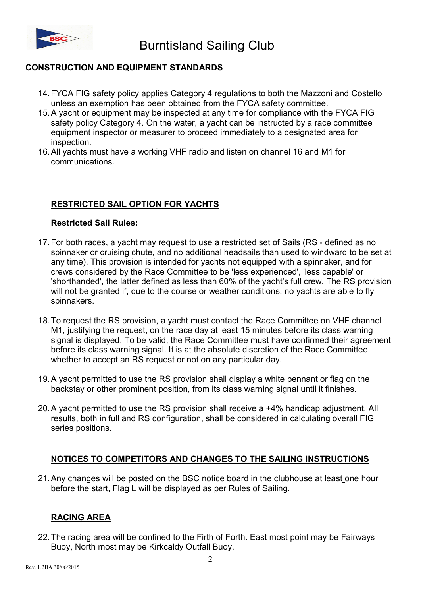

## CONSTRUCTION AND EQUIPMENT STANDARDS

- 14. FYCA FIG safety policy applies Category 4 regulations to both the Mazzoni and Costello unless an exemption has been obtained from the FYCA safety committee.
- 15. A yacht or equipment may be inspected at any time for compliance with the FYCA FIG safety policy Category 4. On the water, a yacht can be instructed by a race committee equipment inspector or measurer to proceed immediately to a designated area for inspection.
- 16. All yachts must have a working VHF radio and listen on channel 16 and M1 for communications.

## RESTRICTED SAIL OPTION FOR YACHTS

#### Restricted Sail Rules:

- 17. For both races, a yacht may request to use a restricted set of Sails (RS defined as no spinnaker or cruising chute, and no additional headsails than used to windward to be set at any time). This provision is intended for yachts not equipped with a spinnaker, and for crews considered by the Race Committee to be 'less experienced', 'less capable' or 'shorthanded', the latter defined as less than 60% of the yacht's full crew. The RS provision will not be granted if, due to the course or weather conditions, no yachts are able to fly spinnakers.
- 18. To request the RS provision, a yacht must contact the Race Committee on VHF channel M1, justifying the request, on the race day at least 15 minutes before its class warning signal is displayed. To be valid, the Race Committee must have confirmed their agreement before its class warning signal. It is at the absolute discretion of the Race Committee whether to accept an RS request or not on any particular day.
- 19. A yacht permitted to use the RS provision shall display a white pennant or flag on the backstay or other prominent position, from its class warning signal until it finishes.
- 20. A yacht permitted to use the RS provision shall receive a +4% handicap adjustment. All results, both in full and RS configuration, shall be considered in calculating overall FIG series positions.

## NOTICES TO COMPETITORS AND CHANGES TO THE SAILING INSTRUCTIONS

21. Any changes will be posted on the BSC notice board in the clubhouse at least one hour before the start, Flag L will be displayed as per Rules of Sailing.

## RACING AREA

22. The racing area will be confined to the Firth of Forth. East most point may be Fairways Buoy, North most may be Kirkcaldy Outfall Buoy.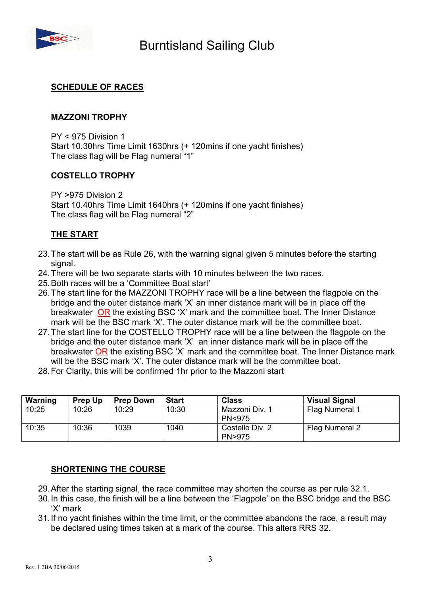

#### SCHEDULE OF RACES

#### MAZZONI TROPHY

PY < 975 Division 1 Start 10.30hrs Time Limit 1630hrs (+ 120mins if one yacht finishes) The class flag will be Flag numeral "1"

#### COSTELLO TROPHY

PY >975 Division 2 Start 10.40hrs Time Limit 1640hrs (+ 120mins if one yacht finishes) The class flag will be Flag numeral "2"

#### THE START

- 23. The start will be as Rule 26, with the warning signal given 5 minutes before the starting signal.
- 24. There will be two separate starts with 10 minutes between the two races.
- 25. Both races will be a 'Committee Boat start'
- 26. The start line for the MAZZONI TROPHY race will be a line between the flagpole on the bridge and the outer distance mark 'X' an inner distance mark will be in place off the breakwater OR the existing BSC 'X' mark and the committee boat. The Inner Distance mark will be the BSC mark 'X'. The outer distance mark will be the committee boat.
- 27. The start line for the COSTELLO TROPHY race will be a line between the flagpole on the bridge and the outer distance mark 'X' an inner distance mark will be in place off the breakwater OR the existing BSC 'X' mark and the committee boat. The Inner Distance mark will be the BSC mark 'X'. The outer distance mark will be the committee boat.
- 28. For Clarity, this will be confirmed 1hr prior to the Mazzoni start

| Warning | <b>Prep Up</b> | <b>Prep Down</b> | <b>Start</b> | <b>Class</b>                        | <b>Visual Signal</b> |
|---------|----------------|------------------|--------------|-------------------------------------|----------------------|
| 10:25   | 10:26          | 10:29            | 10:30        | Mazzoni Div. 1<br><b>PN&lt;975</b>  | Flag Numeral 1       |
| 10:35   | 10:36          | 1039             | 1040         | Costello Div. 2<br><b>PN&gt;975</b> | Flag Numeral 2       |

#### SHORTENING THE COURSE

- 29. After the starting signal, the race committee may shorten the course as per rule 32.1.
- 30. In this case, the finish will be a line between the 'Flagpole' on the BSC bridge and the BSC 'X' mark
- 31. If no yacht finishes within the time limit, or the committee abandons the race, a result may be declared using times taken at a mark of the course. This alters RRS 32.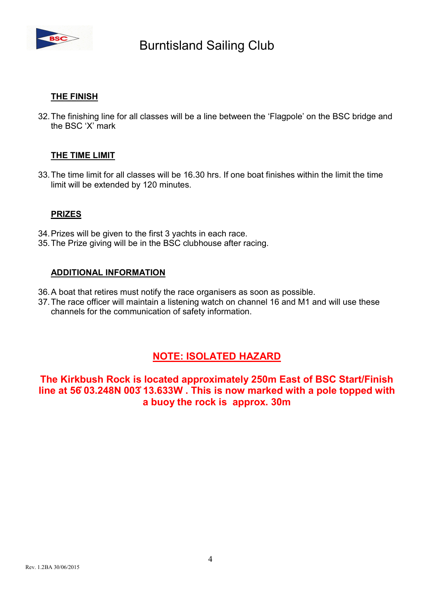

## THE FINISH

32. The finishing line for all classes will be a line between the 'Flagpole' on the BSC bridge and the BSC 'X' mark

## THE TIME LIMIT

33. The time limit for all classes will be 16.30 hrs. If one boat finishes within the limit the time limit will be extended by 120 minutes.

#### PRIZES

- 34. Prizes will be given to the first 3 yachts in each race.
- 35. The Prize giving will be in the BSC clubhouse after racing.

#### ADDITIONAL INFORMATION

- 36. A boat that retires must notify the race organisers as soon as possible.
- 37. The race officer will maintain a listening watch on channel 16 and M1 and will use these channels for the communication of safety information.

## NOTE: ISOLATED HAZARD

The Kirkbush Rock is located approximately 250m East of BSC Start/Finish line at 56̊ 03.248N 003̊ 13.633W . This is now marked with a pole topped with a buoy the rock is approx. 30m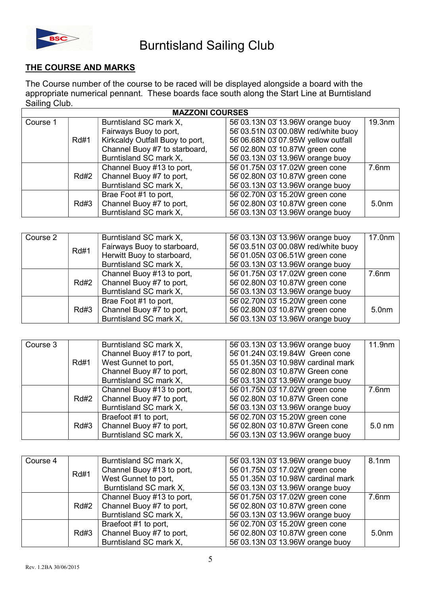

## THE COURSE AND MARKS

The Course number of the course to be raced will be displayed alongside a board with the appropriate numerical pennant. These boards face south along the Start Line at Burntisland Sailing Club.

| <b>MAZZONI COURSES</b> |             |                                 |                                    |                    |  |
|------------------------|-------------|---------------------------------|------------------------------------|--------------------|--|
| Course 1               |             | Burntisland SC mark X,          | 56 03.13N 03 13.96W orange buoy    | 19.3 <sub>nm</sub> |  |
|                        |             | Fairways Buoy to port,          | 56 03.51N 03 00.08W red/white buoy |                    |  |
|                        | <b>Rd#1</b> | Kirkcaldy Outfall Buoy to port, | 56 06.68N 03 07.95W yellow outfall |                    |  |
|                        |             | Channel Buoy #7 to starboard,   | 56 02.80N 03 10.87W green cone     |                    |  |
|                        |             | Burntisland SC mark X,          | 56 03.13N 03 13.96W orange buoy    |                    |  |
|                        |             | Channel Buoy #13 to port,       | 56 01.75N 03 17.02W green cone     | 7.6 <sub>nm</sub>  |  |
|                        | Rd#2        | Channel Buoy #7 to port,        | 56 02.80N 03 10.87W green cone     |                    |  |
|                        |             | Burntisland SC mark X,          | 56 03.13N 03 13.96W orange buoy    |                    |  |
|                        |             | Brae Foot #1 to port,           | 56 02.70N 03 15.20W green cone     |                    |  |
|                        | Rd#3        | Channel Buoy #7 to port,        | 56 02.80N 03 10.87W green cone     | 5.0 <sub>nm</sub>  |  |
|                        |             | Burntisland SC mark X,          | 56 03.13N 03 13.96W orange buoy    |                    |  |

| Course 2 | <b>Rd#1</b> | Burntisland SC mark X,      | 56 03.13N 03 13.96W orange buoy    | 17.0 <sub>nm</sub> |
|----------|-------------|-----------------------------|------------------------------------|--------------------|
|          |             | Fairways Buoy to starboard, | 56 03.51N 03 00.08W red/white buoy |                    |
|          |             | Herwitt Buoy to starboard,  | 56 01.05N 03 06.51W green cone     |                    |
|          |             | Burntisland SC mark X,      | 56 03.13N 03 13.96W orange buoy    |                    |
|          |             | Channel Buoy #13 to port,   | 56 01.75N 03 17.02W green cone     | 7.6 <sub>nm</sub>  |
|          | Rd#2        | Channel Buoy #7 to port,    | 56 02.80N 03 10.87W green cone     |                    |
|          |             | Burntisland SC mark X,      | 56 03.13N 03 13.96W orange buoy    |                    |
|          | Rd#3        | Brae Foot #1 to port,       | 56 02.70N 03 15.20W green cone     |                    |
|          |             | Channel Buoy #7 to port,    | 56 02.80N 03 10.87W green cone     | 5.0 <sub>nm</sub>  |
|          |             | Burntisland SC mark X,      | 56 03.13N 03 13.96W orange buoy    |                    |

| Course 3 |             | Burntisland SC mark X,    | 56 03.13N 03 13.96W orange buoy   | 11.9 <sub>nm</sub> |
|----------|-------------|---------------------------|-----------------------------------|--------------------|
|          |             | Channel Buoy #17 to port, | 56 01.24N 03.19.84W Green cone    |                    |
|          | <b>Rd#1</b> | West Gunnet to port,      | 55 01.35N 03 10.98W cardinal mark |                    |
|          |             | Channel Buoy #7 to port,  | 56 02.80N 03 10.87W Green cone    |                    |
|          |             | Burntisland SC mark X,    | 56 03.13N 03 13.96W orange buoy   |                    |
|          |             | Channel Buoy #13 to port, | 56 01.75N 03 17.02W green cone    | 7.6 <sub>nm</sub>  |
|          | Rd#2        | Channel Buoy #7 to port,  | 56 02.80N 03 10.87W Green cone    |                    |
|          |             | Burntisland SC mark X,    | 56 03.13N 03 13.96W orange buoy   |                    |
|          |             | Braefoot #1 to port,      | 56 02.70N 03 15.20W green cone    |                    |
|          | Rd#3        | Channel Buoy #7 to port,  | 56 02.80N 03 10.87W Green cone    | $5.0 \text{ nm}$   |
|          |             | Burntisland SC mark X,    | 56 03.13N 03 13.96W orange buoy   |                    |

| Course 4 | <b>Rd#1</b> | Burntisland SC mark X,    | 56 03.13N 03 13.96W orange buoy   | 8.1nm             |
|----------|-------------|---------------------------|-----------------------------------|-------------------|
|          |             | Channel Buoy #13 to port, | 56 01.75N 03 17.02W green cone    |                   |
|          |             | West Gunnet to port,      | 55 01.35N 03 10.98W cardinal mark |                   |
|          |             | Burntisland SC mark X,    | 56 03.13N 03 13.96W orange buoy   |                   |
|          |             | Channel Buoy #13 to port, | 56 01.75N 03 17.02W green cone    | 7.6 <sub>nm</sub> |
|          | <b>Rd#2</b> | Channel Buoy #7 to port,  | 56 02.80N 03 10.87W green cone    |                   |
|          |             | Burntisland SC mark X,    | 56 03.13N 03 13.96W orange buoy   |                   |
|          | Rd#3        | Braefoot #1 to port,      | 56 02.70N 03 15.20W green cone    |                   |
|          |             | Channel Buoy #7 to port,  | 56 02.80N 03 10.87W green cone    | 5.0 <sub>nm</sub> |
|          |             | Burntisland SC mark X,    | 56 03.13N 03 13.96W orange buoy   |                   |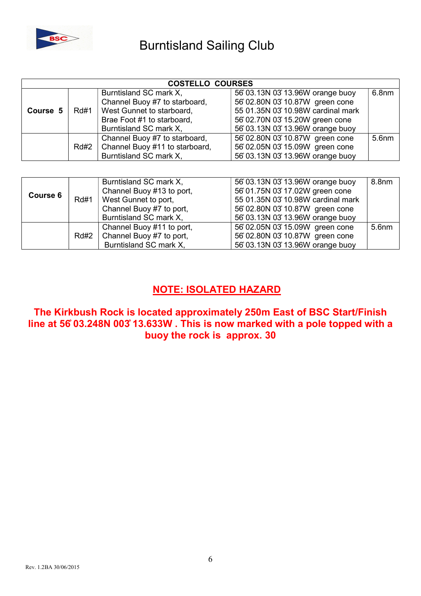

| <b>COSTELLO COURSES</b> |             |                                |                                   |                   |  |
|-------------------------|-------------|--------------------------------|-----------------------------------|-------------------|--|
|                         | <b>Rd#1</b> | Burntisland SC mark X,         | 56 03.13N 03 13.96W orange buoy   | 6.8 <sub>nm</sub> |  |
|                         |             | Channel Buoy #7 to starboard,  | 56 02.80N 03 10.87W green cone    |                   |  |
| Course 5                |             | West Gunnet to starboard,      | 55 01.35N 03 10.98W cardinal mark |                   |  |
|                         |             | Brae Foot #1 to starboard,     | 56 02.70N 03 15.20W green cone    |                   |  |
|                         |             | Burntisland SC mark X,         | 56 03.13N 03 13.96W orange buoy   |                   |  |
|                         |             | Channel Buoy #7 to starboard,  | 56 02.80N 03 10.87W green cone    | 5.6nm             |  |
|                         | Rd#2        | Channel Buoy #11 to starboard, | 56 02.05N 03 15.09W green cone    |                   |  |
|                         |             | Burntisland SC mark X,         | 56 03.13N 03 13.96W orange buoy   |                   |  |

| Course 6 | <b>Rd#1</b> | Burntisland SC mark X,<br>Channel Buoy #13 to port,<br>West Gunnet to port,<br>Channel Buoy #7 to port,<br>Burntisland SC mark X, | 56 03.13N 03 13.96W orange buoy<br>56 01.75N 03 17.02W green cone<br>55 01.35N 03 10.98W cardinal mark<br>56 02.80N 03 10.87W green cone<br>56 03.13N 03 13.96W orange buoy | 8.8 <sub>nm</sub> |
|----------|-------------|-----------------------------------------------------------------------------------------------------------------------------------|-----------------------------------------------------------------------------------------------------------------------------------------------------------------------------|-------------------|
|          | Rd#2        | Channel Buoy #11 to port,<br>Channel Buoy #7 to port,<br>Burntisland SC mark X,                                                   | 56 02.05N 03 15.09W green cone<br>56 02.80N 03 10.87W green cone<br>56 03.13N 03 13.96W orange buoy                                                                         | 5.6nm             |

# NOTE: ISOLATED HAZARD

The Kirkbush Rock is located approximately 250m East of BSC Start/Finish line at 56̊ 03.248N 003̊ 13.633W . This is now marked with a pole topped with a buoy the rock is approx. 30